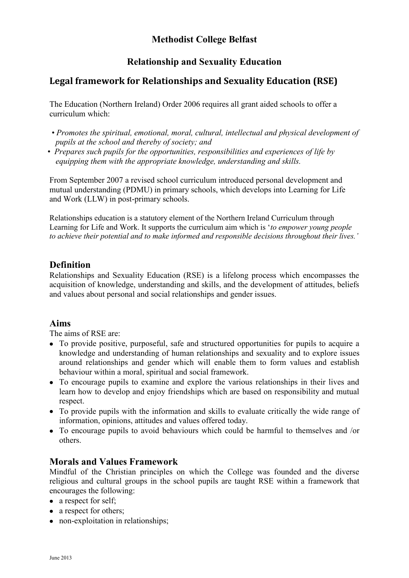# **Methodist College Belfast**

# **Relationship and Sexuality Education**

# **Legal framework for Relationships and Sexuality Education (RSE)**

The Education (Northern Ireland) Order 2006 requires all grant aided schools to offer a curriculum which:

- *Promotes the spiritual, emotional, moral, cultural, intellectual and physical development of pupils at the school and thereby of society; and*
- *Prepares such pupils for the opportunities, responsibilities and experiences of life by equipping them with the appropriate knowledge, understanding and skills.*

From September 2007 a revised school curriculum introduced personal development and mutual understanding (PDMU) in primary schools, which develops into Learning for Life and Work (LLW) in post-primary schools.

Relationships education is a statutory element of the Northern Ireland Curriculum through Learning for Life and Work. It supports the curriculum aim which is '*to empower young people to achieve their potential and to make informed and responsible decisions throughout their lives.'* 

### **Definition**

Relationships and Sexuality Education (RSE) is a lifelong process which encompasses the acquisition of knowledge, understanding and skills, and the development of attitudes, beliefs and values about personal and social relationships and gender issues.

### **Aims**

The aims of RSE are:

- To provide positive, purposeful, safe and structured opportunities for pupils to acquire a knowledge and understanding of human relationships and sexuality and to explore issues around relationships and gender which will enable them to form values and establish behaviour within a moral, spiritual and social framework.
- To encourage pupils to examine and explore the various relationships in their lives and learn how to develop and enjoy friendships which are based on responsibility and mutual respect.
- To provide pupils with the information and skills to evaluate critically the wide range of information, opinions, attitudes and values offered today.
- To encourage pupils to avoid behaviours which could be harmful to themselves and /or others.

### **Morals and Values Framework**

Mindful of the Christian principles on which the College was founded and the diverse religious and cultural groups in the school pupils are taught RSE within a framework that encourages the following:

- a respect for self:
- a respect for others;
- non-exploitation in relationships;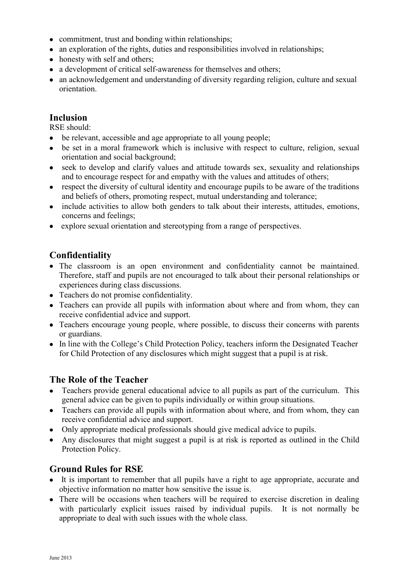- commitment, trust and bonding within relationships;
- an exploration of the rights, duties and responsibilities involved in relationships;
- honesty with self and others:
- a development of critical self-awareness for themselves and others;
- an acknowledgement and understanding of diversity regarding religion, culture and sexual orientation.

# **Inclusion**

RSE should:

- be relevant, accessible and age appropriate to all young people;
- be set in a moral framework which is inclusive with respect to culture, religion, sexual orientation and social background;
- seek to develop and clarify values and attitude towards sex, sexuality and relationships and to encourage respect for and empathy with the values and attitudes of others;
- respect the diversity of cultural identity and encourage pupils to be aware of the traditions and beliefs of others, promoting respect, mutual understanding and tolerance;
- include activities to allow both genders to talk about their interests, attitudes, emotions, concerns and feelings;
- explore sexual orientation and stereotyping from a range of perspectives.

# **Confidentiality**

- The classroom is an open environment and confidentiality cannot be maintained. Therefore, staff and pupils are not encouraged to talk about their personal relationships or experiences during class discussions.
- Teachers do not promise confidentiality.
- Teachers can provide all pupils with information about where and from whom, they can receive confidential advice and support.
- Teachers encourage young people, where possible, to discuss their concerns with parents or guardians.
- In line with the College's Child Protection Policy, teachers inform the Designated Teacher for Child Protection of any disclosures which might suggest that a pupil is at risk.

### **The Role of the Teacher**

- Teachers provide general educational advice to all pupils as part of the curriculum. This general advice can be given to pupils individually or within group situations.
- Teachers can provide all pupils with information about where, and from whom, they can receive confidential advice and support.
- Only appropriate medical professionals should give medical advice to pupils.
- Any disclosures that might suggest a pupil is at risk is reported as outlined in the Child Protection Policy.

### **Ground Rules for RSE**

- It is important to remember that all pupils have a right to age appropriate, accurate and objective information no matter how sensitive the issue is.
- There will be occasions when teachers will be required to exercise discretion in dealing with particularly explicit issues raised by individual pupils. It is not normally be appropriate to deal with such issues with the whole class.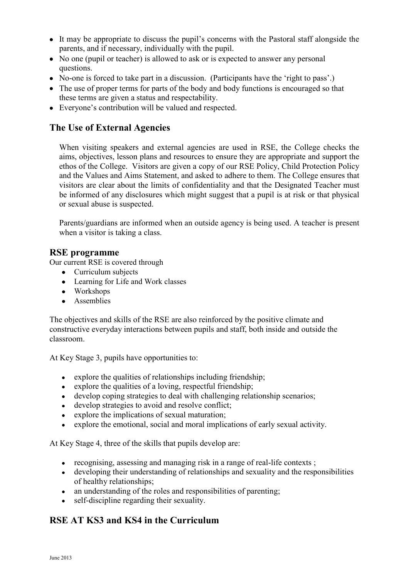- It may be appropriate to discuss the pupil's concerns with the Pastoral staff alongside the parents, and if necessary, individually with the pupil.
- No one (pupil or teacher) is allowed to ask or is expected to answer any personal questions.
- No-one is forced to take part in a discussion. (Participants have the 'right to pass'.)
- The use of proper terms for parts of the body and body functions is encouraged so that these terms are given a status and respectability.
- Everyone's contribution will be valued and respected.

#### **The Use of External Agencies**

When visiting speakers and external agencies are used in RSE, the College checks the aims, objectives, lesson plans and resources to ensure they are appropriate and support the ethos of the College. Visitors are given a copy of our RSE Policy, Child Protection Policy and the Values and Aims Statement, and asked to adhere to them. The College ensures that visitors are clear about the limits of confidentiality and that the Designated Teacher must be informed of any disclosures which might suggest that a pupil is at risk or that physical or sexual abuse is suspected.

Parents/guardians are informed when an outside agency is being used. A teacher is present when a visitor is taking a class.

#### **RSE programme**

Our current RSE is covered through

- Curriculum subjects
- Learning for Life and Work classes
- Workshops
- Assemblies

The objectives and skills of the RSE are also reinforced by the positive climate and constructive everyday interactions between pupils and staff, both inside and outside the classroom.

At Key Stage 3, pupils have opportunities to:

- $\bullet$  explore the qualities of relationships including friendship;
- explore the qualities of a loving, respectful friendship;
- develop coping strategies to deal with challenging relationship scenarios;
- develop strategies to avoid and resolve conflict;
- explore the implications of sexual maturation;
- explore the emotional, social and moral implications of early sexual activity.

At Key Stage 4, three of the skills that pupils develop are:

- recognising, assessing and managing risk in a range of real-life contexts ;
- developing their understanding of relationships and sexuality and the responsibilities of healthy relationships;
- an understanding of the roles and responsibilities of parenting;
- self-discipline regarding their sexuality.

### **RSE AT KS3 and KS4 in the Curriculum**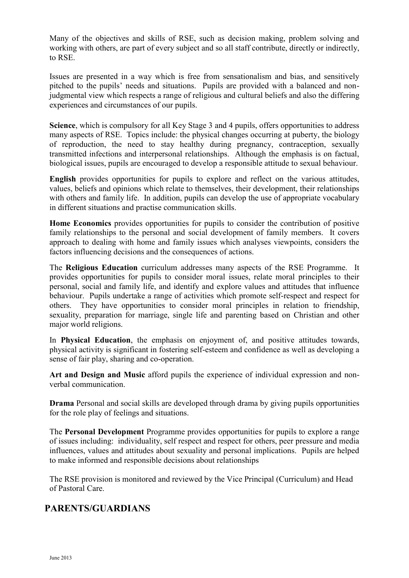Many of the objectives and skills of RSE, such as decision making, problem solving and working with others, are part of every subject and so all staff contribute, directly or indirectly, to RSE.

Issues are presented in a way which is free from sensationalism and bias, and sensitively pitched to the pupils' needs and situations. Pupils are provided with a balanced and nonjudgmental view which respects a range of religious and cultural beliefs and also the differing experiences and circumstances of our pupils.

**Science**, which is compulsory for all Key Stage 3 and 4 pupils, offers opportunities to address many aspects of RSE. Topics include: the physical changes occurring at puberty, the biology of reproduction, the need to stay healthy during pregnancy, contraception, sexually transmitted infections and interpersonal relationships. Although the emphasis is on factual, biological issues, pupils are encouraged to develop a responsible attitude to sexual behaviour.

**English** provides opportunities for pupils to explore and reflect on the various attitudes, values, beliefs and opinions which relate to themselves, their development, their relationships with others and family life. In addition, pupils can develop the use of appropriate vocabulary in different situations and practise communication skills.

**Home Economics** provides opportunities for pupils to consider the contribution of positive family relationships to the personal and social development of family members. It covers approach to dealing with home and family issues which analyses viewpoints, considers the factors influencing decisions and the consequences of actions.

The **Religious Education** curriculum addresses many aspects of the RSE Programme. It provides opportunities for pupils to consider moral issues, relate moral principles to their personal, social and family life, and identify and explore values and attitudes that influence behaviour. Pupils undertake a range of activities which promote self-respect and respect for others. They have opportunities to consider moral principles in relation to friendship, sexuality, preparation for marriage, single life and parenting based on Christian and other major world religions.

In **Physical Education**, the emphasis on enjoyment of, and positive attitudes towards, physical activity is significant in fostering self-esteem and confidence as well as developing a sense of fair play, sharing and co-operation.

**Art and Design and Music** afford pupils the experience of individual expression and nonverbal communication.

**Drama** Personal and social skills are developed through drama by giving pupils opportunities for the role play of feelings and situations.

The **Personal Development** Programme provides opportunities for pupils to explore a range of issues including: individuality, self respect and respect for others, peer pressure and media influences, values and attitudes about sexuality and personal implications. Pupils are helped to make informed and responsible decisions about relationships

The RSE provision is monitored and reviewed by the Vice Principal (Curriculum) and Head of Pastoral Care.

### **PARENTS/GUARDIANS**